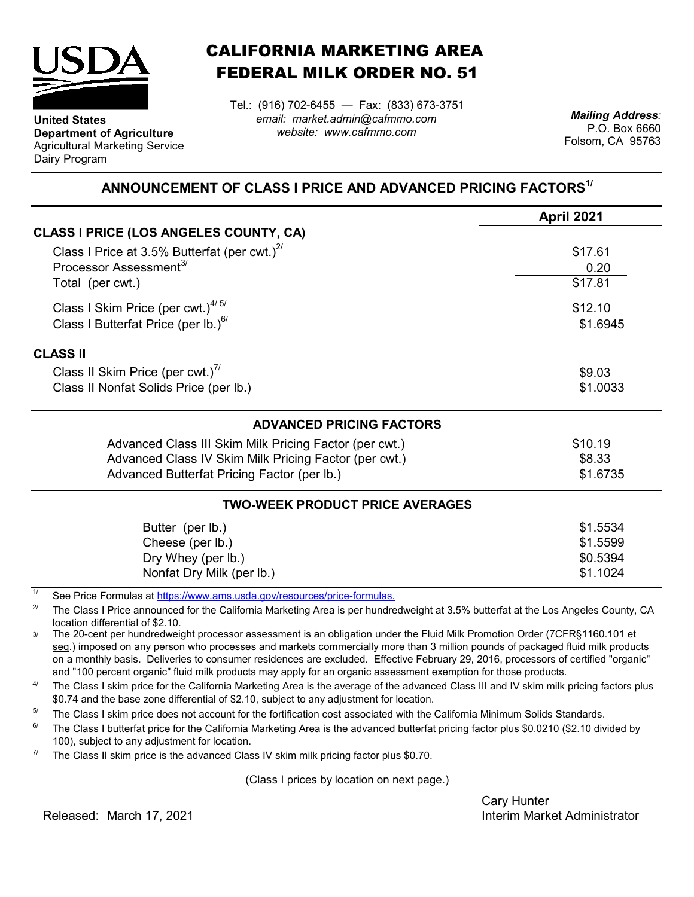

**Department of Agriculture** Agricultural Marketing Service

**United States**

Dairy Program

CALIFORNIA MARKETING AREA FEDERAL MILK ORDER NO. 51

Tel.: (916) 702-6455 — Fax: (833) 673-3751 *email: market.admin@cafmmo.com website: www.cafmmo.com*

*Mailing Address:* P.O. Box 6660 Folsom, CA 95763

## **ANNOUNCEMENT OF CLASS I PRICE AND ADVANCED PRICING FACTORS1/**

|                                                                         | <b>April 2021</b> |  |  |
|-------------------------------------------------------------------------|-------------------|--|--|
| <b>CLASS I PRICE (LOS ANGELES COUNTY, CA)</b>                           |                   |  |  |
| Class I Price at 3.5% Butterfat (per cwt.) $2^{7}$                      | \$17.61           |  |  |
| Processor Assessment <sup>3/</sup>                                      | 0.20              |  |  |
| Total (per cwt.)                                                        | \$17.81           |  |  |
| Class I Skim Price (per cwt.) $4/5/$                                    | \$12.10           |  |  |
| Class I Butterfat Price (per lb.) $^{67}$                               | \$1.6945          |  |  |
| <b>CLASS II</b>                                                         |                   |  |  |
| Class II Skim Price (per cwt.)"                                         | \$9.03            |  |  |
| Class II Nonfat Solids Price (per lb.)                                  | \$1.0033          |  |  |
| <b>ADVANCED PRICING FACTORS</b>                                         |                   |  |  |
| Advanced Class III Skim Milk Pricing Factor (per cwt.)                  | \$10.19           |  |  |
| Advanced Class IV Skim Milk Pricing Factor (per cwt.)                   | \$8.33            |  |  |
| Advanced Butterfat Pricing Factor (per lb.)                             | \$1.6735          |  |  |
| <b>TWO-WEEK PRODUCT PRICE AVERAGES</b>                                  |                   |  |  |
| Butter (per lb.)                                                        | \$1.5534          |  |  |
| Cheese (per lb.)                                                        | \$1.5599          |  |  |
| Dry Whey (per lb.)                                                      | \$0.5394          |  |  |
| Nonfat Dry Milk (per lb.)                                               | \$1.1024          |  |  |
| See Price Formulas at https://www.ams.usda.gov/resources/price-formulas |                   |  |  |

[See Price Formulas at h](https://www.ams.usda.gov/resources/price-formulas)ttps://www.ams.usda.gov/r

2/ The Class I Price announced for the California Marketing Area is per hundredweight at 3.5% butterfat at the Los Angeles County, CA location differential of \$2.10.

3/ The 20-cent per hundredweight processor assessment is an obligation under the Fluid Milk Promotion Order (7CFR§1160.101 et seq.) imposed on any person who processes and markets commercially more than 3 million pounds of packaged fluid milk products on a monthly basis. Deliveries to consumer residences are excluded. Effective February 29, 2016, processors of certified "organic" and "100 percent organic" fluid milk products may apply for an organic assessment exemption for those products.

4/ The Class I skim price for the California Marketing Area is the average of the advanced Class III and IV skim milk pricing factors plus \$0.74 and the base zone differential of \$2.10, subject to any adjustment for location.

5/ The Class I skim price does not account for the fortification cost associated with the California Minimum Solids Standards.

6/ The Class I butterfat price for the California Marketing Area is the advanced butterfat pricing factor plus \$0.0210 (\$2.10 divided by 100), subject to any adjustment for location.

7/ The Class II skim price is the advanced Class IV skim milk pricing factor plus \$0.70.

(Class I prices by location on next page.)

Cary Hunter Released: Interim Market Administrator March 17, 2021